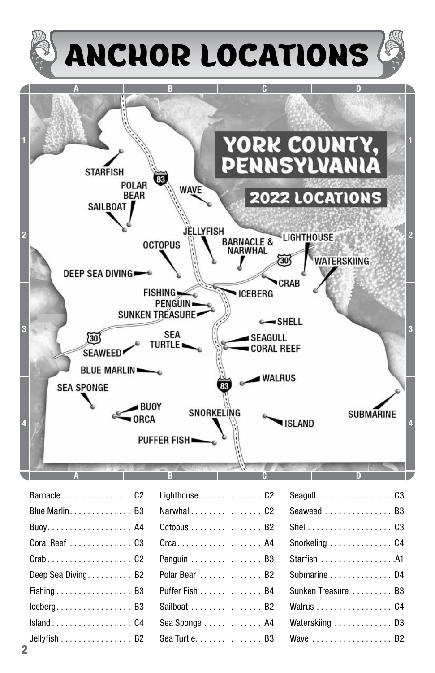